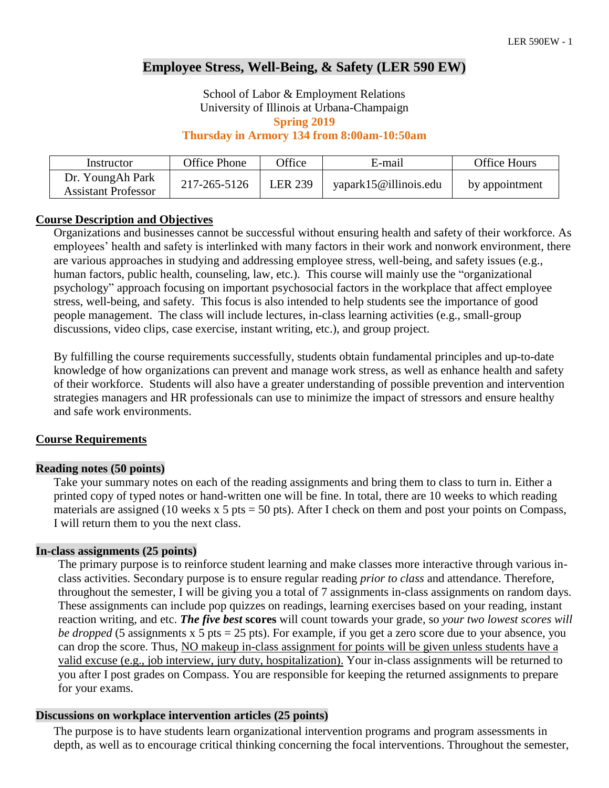# **Employee Stress, Well-Being, & Safety (LER 590 EW)**

School of Labor & Employment Relations University of Illinois at Urbana-Champaign **Spring 2019**

# **Thursday in Armory 134 from 8:00am-10:50am**

| Instructor                                     | Office Phone | <b>Office</b>  | E-mail                | <b>Office Hours</b> |
|------------------------------------------------|--------------|----------------|-----------------------|---------------------|
| Dr. YoungAh Park<br><b>Assistant Professor</b> | 217-265-5126 | <b>LER 239</b> | yapark15@illinois.edu | by appointment      |

# **Course Description and Objectives**

Organizations and businesses cannot be successful without ensuring health and safety of their workforce. As employees' health and safety is interlinked with many factors in their work and nonwork environment, there are various approaches in studying and addressing employee stress, well-being, and safety issues (e.g., human factors, public health, counseling, law, etc.). This course will mainly use the "organizational psychology" approach focusing on important psychosocial factors in the workplace that affect employee stress, well-being, and safety. This focus is also intended to help students see the importance of good people management. The class will include lectures, in-class learning activities (e.g., small-group discussions, video clips, case exercise, instant writing, etc.), and group project.

By fulfilling the course requirements successfully, students obtain fundamental principles and up-to-date knowledge of how organizations can prevent and manage work stress, as well as enhance health and safety of their workforce. Students will also have a greater understanding of possible prevention and intervention strategies managers and HR professionals can use to minimize the impact of stressors and ensure healthy and safe work environments.

# **Course Requirements**

# **Reading notes (50 points)**

Take your summary notes on each of the reading assignments and bring them to class to turn in. Either a printed copy of typed notes or hand-written one will be fine. In total, there are 10 weeks to which reading materials are assigned (10 weeks x 5 pts = 50 pts). After I check on them and post your points on Compass, I will return them to you the next class.

# **In-class assignments (25 points)**

The primary purpose is to reinforce student learning and make classes more interactive through various inclass activities. Secondary purpose is to ensure regular reading *prior to class* and attendance. Therefore, throughout the semester, I will be giving you a total of 7 assignments in-class assignments on random days. These assignments can include pop quizzes on readings, learning exercises based on your reading, instant reaction writing, and etc. *The five best* **scores** will count towards your grade, so *your two lowest scores will be dropped* (5 assignments x 5 pts = 25 pts). For example, if you get a zero score due to your absence, you can drop the score. Thus, NO makeup in-class assignment for points will be given unless students have a valid excuse (e.g., job interview, jury duty, hospitalization). Your in-class assignments will be returned to you after I post grades on Compass. You are responsible for keeping the returned assignments to prepare for your exams.

# **Discussions on workplace intervention articles (25 points)**

The purpose is to have students learn organizational intervention programs and program assessments in depth, as well as to encourage critical thinking concerning the focal interventions. Throughout the semester,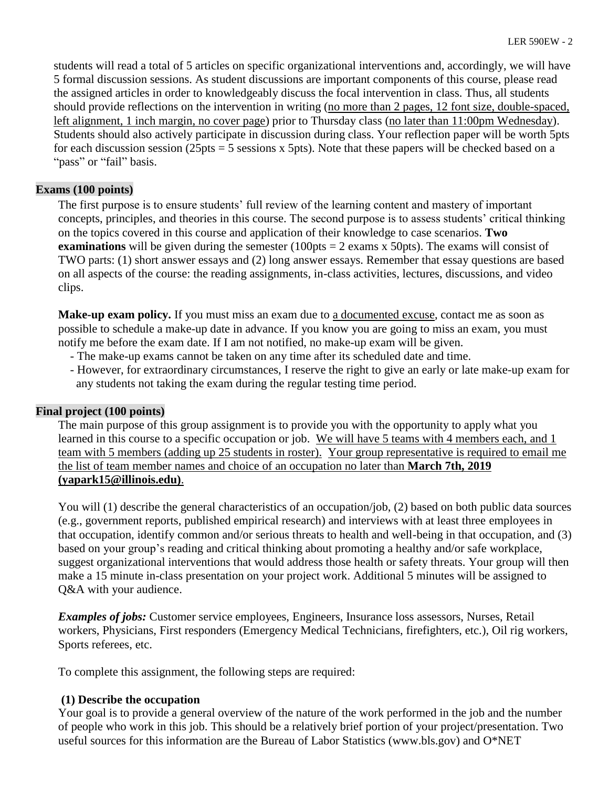students will read a total of 5 articles on specific organizational interventions and, accordingly, we will have 5 formal discussion sessions. As student discussions are important components of this course, please read the assigned articles in order to knowledgeably discuss the focal intervention in class. Thus, all students should provide reflections on the intervention in writing (no more than 2 pages, 12 font size, double-spaced, left alignment, 1 inch margin, no cover page) prior to Thursday class (no later than 11:00pm Wednesday). Students should also actively participate in discussion during class. Your reflection paper will be worth 5pts for each discussion session (25pts  $=$  5 sessions x 5pts). Note that these papers will be checked based on a "pass" or "fail" basis.

# **Exams (100 points)**

The first purpose is to ensure students' full review of the learning content and mastery of important concepts, principles, and theories in this course. The second purpose is to assess students' critical thinking on the topics covered in this course and application of their knowledge to case scenarios. **Two examinations** will be given during the semester  $(100pts = 2 \text{ exams x} 50pts)$ . The exams will consist of TWO parts: (1) short answer essays and (2) long answer essays. Remember that essay questions are based on all aspects of the course: the reading assignments, in-class activities, lectures, discussions, and video clips.

**Make-up exam policy.** If you must miss an exam due to a documented excuse, contact me as soon as possible to schedule a make-up date in advance. If you know you are going to miss an exam, you must notify me before the exam date. If I am not notified, no make-up exam will be given.

- The make-up exams cannot be taken on any time after its scheduled date and time.
- However, for extraordinary circumstances, I reserve the right to give an early or late make-up exam for any students not taking the exam during the regular testing time period.

# **Final project (100 points)**

The main purpose of this group assignment is to provide you with the opportunity to apply what you learned in this course to a specific occupation or job. We will have 5 teams with 4 members each, and 1 team with 5 members (adding up 25 students in roster). Your group representative is required to email me the list of team member names and choice of an occupation no later than **March 7th, 2019 (yapark15@illinois.edu)**.

You will (1) describe the general characteristics of an occupation/job, (2) based on both public data sources (e.g., government reports, published empirical research) and interviews with at least three employees in that occupation, identify common and/or serious threats to health and well-being in that occupation, and (3) based on your group's reading and critical thinking about promoting a healthy and/or safe workplace, suggest organizational interventions that would address those health or safety threats. Your group will then make a 15 minute in-class presentation on your project work. Additional 5 minutes will be assigned to Q&A with your audience.

*Examples of jobs:* Customer service employees, Engineers, Insurance loss assessors, Nurses, Retail workers, Physicians, First responders (Emergency Medical Technicians, firefighters, etc.), Oil rig workers, Sports referees, etc.

To complete this assignment, the following steps are required:

# **(1) Describe the occupation**

Your goal is to provide a general overview of the nature of the work performed in the job and the number of people who work in this job. This should be a relatively brief portion of your project/presentation. Two useful sources for this information are the Bureau of Labor Statistics (www.bls.gov) and O\*NET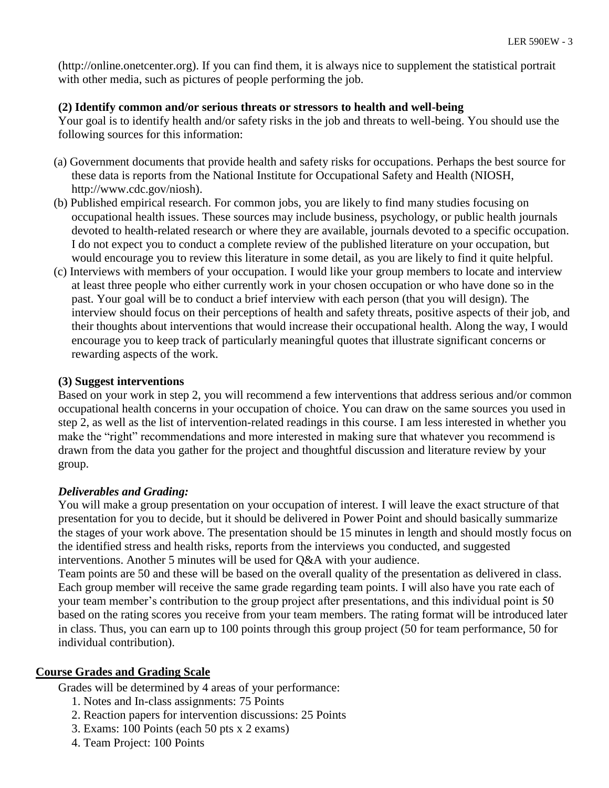(http://online.onetcenter.org). If you can find them, it is always nice to supplement the statistical portrait with other media, such as pictures of people performing the job.

# **(2) Identify common and/or serious threats or stressors to health and well-being**

Your goal is to identify health and/or safety risks in the job and threats to well-being. You should use the following sources for this information:

- (a) Government documents that provide health and safety risks for occupations. Perhaps the best source for these data is reports from the National Institute for Occupational Safety and Health (NIOSH, http://www.cdc.gov/niosh).
- (b) Published empirical research. For common jobs, you are likely to find many studies focusing on occupational health issues. These sources may include business, psychology, or public health journals devoted to health-related research or where they are available, journals devoted to a specific occupation. I do not expect you to conduct a complete review of the published literature on your occupation, but would encourage you to review this literature in some detail, as you are likely to find it quite helpful.
- (c) Interviews with members of your occupation. I would like your group members to locate and interview at least three people who either currently work in your chosen occupation or who have done so in the past. Your goal will be to conduct a brief interview with each person (that you will design). The interview should focus on their perceptions of health and safety threats, positive aspects of their job, and their thoughts about interventions that would increase their occupational health. Along the way, I would encourage you to keep track of particularly meaningful quotes that illustrate significant concerns or rewarding aspects of the work.

# **(3) Suggest interventions**

Based on your work in step 2, you will recommend a few interventions that address serious and/or common occupational health concerns in your occupation of choice. You can draw on the same sources you used in step 2, as well as the list of intervention-related readings in this course. I am less interested in whether you make the "right" recommendations and more interested in making sure that whatever you recommend is drawn from the data you gather for the project and thoughtful discussion and literature review by your group.

# *Deliverables and Grading:*

You will make a group presentation on your occupation of interest. I will leave the exact structure of that presentation for you to decide, but it should be delivered in Power Point and should basically summarize the stages of your work above. The presentation should be 15 minutes in length and should mostly focus on the identified stress and health risks, reports from the interviews you conducted, and suggested interventions. Another 5 minutes will be used for Q&A with your audience.

Team points are 50 and these will be based on the overall quality of the presentation as delivered in class. Each group member will receive the same grade regarding team points. I will also have you rate each of your team member's contribution to the group project after presentations, and this individual point is 50 based on the rating scores you receive from your team members. The rating format will be introduced later in class. Thus, you can earn up to 100 points through this group project (50 for team performance, 50 for individual contribution).

# **Course Grades and Grading Scale**

Grades will be determined by 4 areas of your performance:

- 1. Notes and In-class assignments: 75 Points
- 2. Reaction papers for intervention discussions: 25 Points
- 3. Exams: 100 Points (each 50 pts x 2 exams)
- 4. Team Project: 100 Points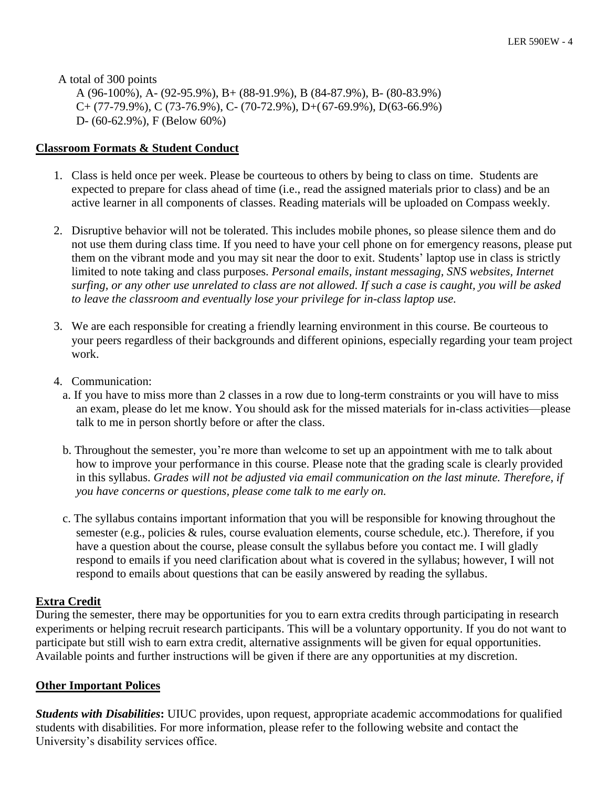A total of 300 points

A (96-100%), A- (92-95.9%), B+ (88-91.9%), B (84-87.9%), B- (80-83.9%)  $C+(77-79.9\%)$ , C (73-76.9%), C- (70-72.9%), D+(67-69.9%), D(63-66.9%) D- (60-62.9%), F (Below 60%)

# **Classroom Formats & Student Conduct**

- 1. Class is held once per week. Please be courteous to others by being to class on time. Students are expected to prepare for class ahead of time (i.e., read the assigned materials prior to class) and be an active learner in all components of classes. Reading materials will be uploaded on Compass weekly.
- 2. Disruptive behavior will not be tolerated. This includes mobile phones, so please silence them and do not use them during class time. If you need to have your cell phone on for emergency reasons, please put them on the vibrant mode and you may sit near the door to exit. Students' laptop use in class is strictly limited to note taking and class purposes. *Personal emails, instant messaging, SNS websites, Internet surfing, or any other use unrelated to class are not allowed. If such a case is caught, you will be asked to leave the classroom and eventually lose your privilege for in-class laptop use.*
- 3. We are each responsible for creating a friendly learning environment in this course. Be courteous to your peers regardless of their backgrounds and different opinions, especially regarding your team project work.
- 4. Communication:
	- a. If you have to miss more than 2 classes in a row due to long-term constraints or you will have to miss an exam, please do let me know. You should ask for the missed materials for in-class activities—please talk to me in person shortly before or after the class.
	- b. Throughout the semester, you're more than welcome to set up an appointment with me to talk about how to improve your performance in this course. Please note that the grading scale is clearly provided in this syllabus. *Grades will not be adjusted via email communication on the last minute. Therefore, if you have concerns or questions, please come talk to me early on.*
	- c. The syllabus contains important information that you will be responsible for knowing throughout the semester (e.g., policies & rules, course evaluation elements, course schedule, etc.). Therefore, if you have a question about the course, please consult the syllabus before you contact me. I will gladly respond to emails if you need clarification about what is covered in the syllabus; however, I will not respond to emails about questions that can be easily answered by reading the syllabus.

# **Extra Credit**

During the semester, there may be opportunities for you to earn extra credits through participating in research experiments or helping recruit research participants. This will be a voluntary opportunity. If you do not want to participate but still wish to earn extra credit, alternative assignments will be given for equal opportunities. Available points and further instructions will be given if there are any opportunities at my discretion.

# **Other Important Polices**

*Students with Disabilities***:** UIUC provides, upon request, appropriate academic accommodations for qualified students with disabilities. For more information, please refer to the following website and contact the University's disability services office.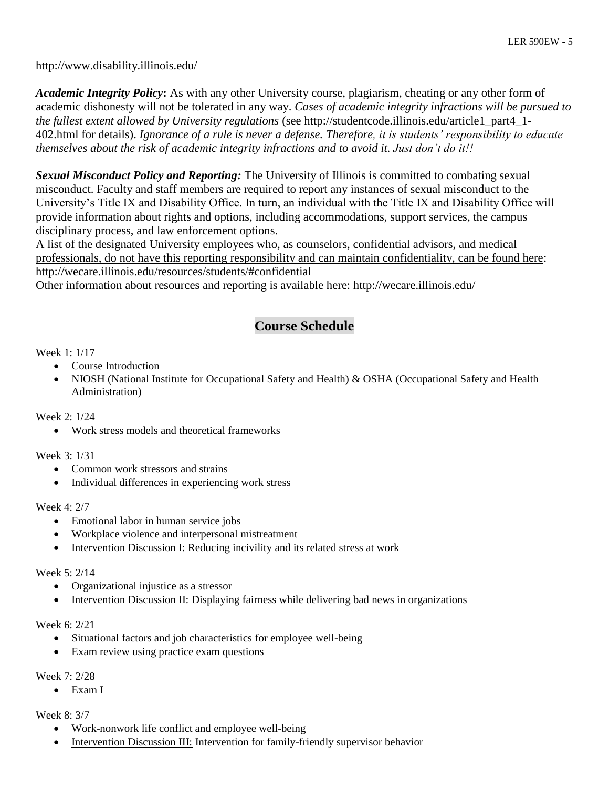http://www.disability.illinois.edu/

*Academic Integrity Policy***:** As with any other University course, plagiarism, cheating or any other form of academic dishonesty will not be tolerated in any way. *Cases of academic integrity infractions will be pursued to the fullest extent allowed by University regulations* (see http://studentcode.illinois.edu/article1\_part4\_1- 402.html for details). *Ignorance of a rule is never a defense. Therefore, it is students' responsibility to educate themselves about the risk of academic integrity infractions and to avoid it. Just don't do it!!*

*Sexual Misconduct Policy and Reporting:* The University of Illinois is committed to combating sexual misconduct. Faculty and staff members are required to report any instances of sexual misconduct to the University's Title IX and Disability Office. In turn, an individual with the Title IX and Disability Office will provide information about rights and options, including accommodations, support services, the campus disciplinary process, and law enforcement options.

A list of the designated University employees who, as counselors, confidential advisors, and medical professionals, do not have this reporting responsibility and can maintain confidentiality, can be found here: http://wecare.illinois.edu/resources/students/#confidential

Other information about resources and reporting is available here: http://wecare.illinois.edu/

# **Course Schedule**

# Week 1: 1/17

- Course Introduction
- NIOSH (National Institute for Occupational Safety and Health) & OSHA (Occupational Safety and Health Administration)

Week 2: 1/24

• Work stress models and theoretical frameworks

Week 3: 1/31

- Common work stressors and strains
- Individual differences in experiencing work stress

Week 4: 2/7

- Emotional labor in human service jobs
- Workplace violence and interpersonal mistreatment
- Intervention Discussion I: Reducing incivility and its related stress at work

# Week 5: 2/14

- Organizational injustice as a stressor
- Intervention Discussion II: Displaying fairness while delivering bad news in organizations

# Week 6: 2/21

- Situational factors and job characteristics for employee well-being
- Exam review using practice exam questions

# Week 7: 2/28

Exam I

Week 8: 3/7

- Work-nonwork life conflict and employee well-being
- Intervention Discussion III: Intervention for family-friendly supervisor behavior